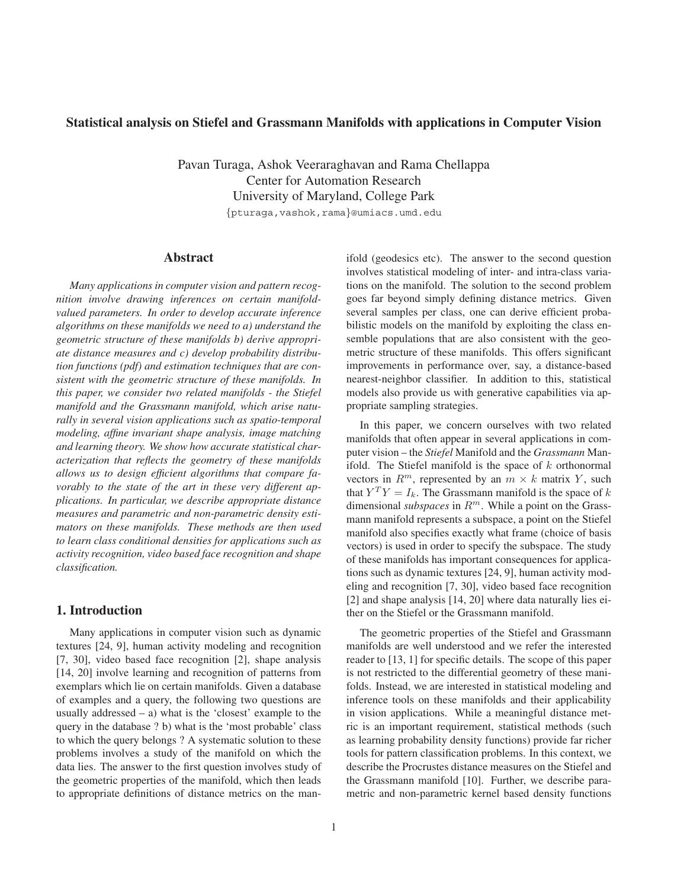# **Statistical analysis on Stiefel and Grassmann Manifolds with applications in Computer Vision**

Pavan Turaga, Ashok Veeraraghavan and Rama Chellappa Center for Automation Research University of Maryland, College Park *{*pturaga,vashok,rama*}*@umiacs.umd.edu

# **Abstract**

*Many applications in computer vision and pattern recognition involve drawing inferences on certain manifoldvalued parameters. In order to develop accurate inference algorithms on these manifolds we need to a) understand the geometric structure of these manifolds b) derive appropriate distance measures and c) develop probability distribution functions (pdf) and estimation techniques that are consistent with the geometric structure of these manifolds. In this paper, we consider two related manifolds - the Stiefel manifold and the Grassmann manifold, which arise naturally in several vision applications such as spatio-temporal modeling, affine invariant shape analysis, image matching and learning theory. We show how accurate statistical characterization that reflects the geometry of these manifolds allows us to design efficient algorithms that compare favorably to the state of the art in these very different applications. In particular, we describe appropriate distance measures and parametric and non-parametric density estimators on these manifolds. These methods are then used to learn class conditional densities for applications such as activity recognition, video based face recognition and shape classification.*

# **1. Introduction**

Many applications in computer vision such as dynamic textures [24, 9], human activity modeling and recognition [7, 30], video based face recognition [2], shape analysis [14, 20] involve learning and recognition of patterns from exemplars which lie on certain manifolds. Given a database of examples and a query, the following two questions are usually addressed  $-$  a) what is the 'closest' example to the query in the database ? b) what is the 'most probable' class to which the query belongs ? A systematic solution to these problems involves a study of the manifold on which the data lies. The answer to the first question involves study of the geometric properties of the manifold, which then leads to appropriate definitions of distance metrics on the manifold (geodesics etc). The answer to the second question involves statistical modeling of inter- and intra-class variations on the manifold. The solution to the second problem goes far beyond simply defining distance metrics. Given several samples per class, one can derive efficient probabilistic models on the manifold by exploiting the class ensemble populations that are also consistent with the geometric structure of these manifolds. This offers significant improvements in performance over, say, a distance-based nearest-neighbor classifier. In addition to this, statistical models also provide us with generative capabilities via appropriate sampling strategies.

In this paper, we concern ourselves with two related manifolds that often appear in several applications in computer vision – the *Stiefel* Manifold and the *Grassmann* Manifold. The Stiefel manifold is the space of  $k$  orthonormal vectors in  $R^m$ , represented by an  $m \times k$  matrix Y, such that  $Y^T Y = I_k$ . The Grassmann manifold is the space of k dimensional *subspaces* in  $R^m$ . While a point on the Grassmann manifold represents a subspace, a point on the Stiefel manifold also specifies exactly what frame (choice of basis vectors) is used in order to specify the subspace. The study of these manifolds has important consequences for applications such as dynamic textures [24, 9], human activity modeling and recognition [7, 30], video based face recognition [2] and shape analysis [14, 20] where data naturally lies either on the Stiefel or the Grassmann manifold.

The geometric properties of the Stiefel and Grassmann manifolds are well understood and we refer the interested reader to [13, 1] for specific details. The scope of this paper is not restricted to the differential geometry of these manifolds. Instead, we are interested in statistical modeling and inference tools on these manifolds and their applicability in vision applications. While a meaningful distance metric is an important requirement, statistical methods (such as learning probability density functions) provide far richer tools for pattern classification problems. In this context, we describe the Procrustes distance measures on the Stiefel and the Grassmann manifold [10]. Further, we describe parametric and non-parametric kernel based density functions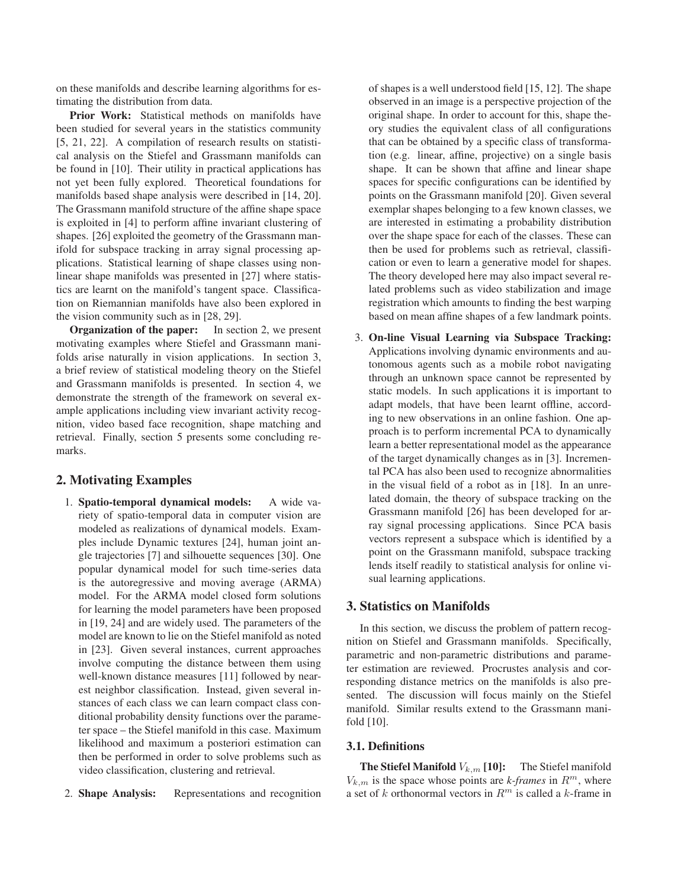on these manifolds and describe learning algorithms for estimating the distribution from data.

**Prior Work:** Statistical methods on manifolds have been studied for several years in the statistics community [5, 21, 22]. A compilation of research results on statistical analysis on the Stiefel and Grassmann manifolds can be found in [10]. Their utility in practical applications has not yet been fully explored. Theoretical foundations for manifolds based shape analysis were described in [14, 20]. The Grassmann manifold structure of the affine shape space is exploited in [4] to perform affine invariant clustering of shapes. [26] exploited the geometry of the Grassmann manifold for subspace tracking in array signal processing applications. Statistical learning of shape classes using nonlinear shape manifolds was presented in [27] where statistics are learnt on the manifold's tangent space. Classification on Riemannian manifolds have also been explored in the vision community such as in [28, 29].

**Organization of the paper:** In section 2, we present motivating examples where Stiefel and Grassmann manifolds arise naturally in vision applications. In section 3, a brief review of statistical modeling theory on the Stiefel and Grassmann manifolds is presented. In section 4, we demonstrate the strength of the framework on several example applications including view invariant activity recognition, video based face recognition, shape matching and retrieval. Finally, section 5 presents some concluding remarks.

# **2. Motivating Examples**

- 1. **Spatio-temporal dynamical models:** A wide variety of spatio-temporal data in computer vision are modeled as realizations of dynamical models. Examples include Dynamic textures [24], human joint angle trajectories [7] and silhouette sequences [30]. One popular dynamical model for such time-series data is the autoregressive and moving average (ARMA) model. For the ARMA model closed form solutions for learning the model parameters have been proposed in [19, 24] and are widely used. The parameters of the model are known to lie on the Stiefel manifold as noted in [23]. Given several instances, current approaches involve computing the distance between them using well-known distance measures [11] followed by nearest neighbor classification. Instead, given several instances of each class we can learn compact class conditional probability density functions over the parameter space – the Stiefel manifold in this case. Maximum likelihood and maximum a posteriori estimation can then be performed in order to solve problems such as video classification, clustering and retrieval.
- 2. **Shape Analysis:** Representations and recognition

of shapes is a well understood field [15, 12]. The shape observed in an image is a perspective projection of the original shape. In order to account for this, shape theory studies the equivalent class of all configurations that can be obtained by a specific class of transformation (e.g. linear, affine, projective) on a single basis shape. It can be shown that affine and linear shape spaces for specific configurations can be identified by points on the Grassmann manifold [20]. Given several exemplar shapes belonging to a few known classes, we are interested in estimating a probability distribution over the shape space for each of the classes. These can then be used for problems such as retrieval, classification or even to learn a generative model for shapes. The theory developed here may also impact several related problems such as video stabilization and image registration which amounts to finding the best warping based on mean affine shapes of a few landmark points.

3. **On-line Visual Learning via Subspace Tracking:** Applications involving dynamic environments and autonomous agents such as a mobile robot navigating through an unknown space cannot be represented by static models. In such applications it is important to adapt models, that have been learnt offline, according to new observations in an online fashion. One approach is to perform incremental PCA to dynamically learn a better representational model as the appearance of the target dynamically changes as in [3]. Incremental PCA has also been used to recognize abnormalities in the visual field of a robot as in [18]. In an unrelated domain, the theory of subspace tracking on the Grassmann manifold [26] has been developed for array signal processing applications. Since PCA basis vectors represent a subspace which is identified by a point on the Grassmann manifold, subspace tracking lends itself readily to statistical analysis for online visual learning applications.

## **3. Statistics on Manifolds**

In this section, we discuss the problem of pattern recognition on Stiefel and Grassmann manifolds. Specifically, parametric and non-parametric distributions and parameter estimation are reviewed. Procrustes analysis and corresponding distance metrics on the manifolds is also presented. The discussion will focus mainly on the Stiefel manifold. Similar results extend to the Grassmann manifold [10].

# **3.1. Definitions**

**The Stiefel Manifold**  $V_{k,m}$  [10]: The Stiefel manifold  $V_{k,m}$  is the space whose points are *k-frames* in  $R^m$ , where a set of k orthonormal vectors in  $R^m$  is called a k-frame in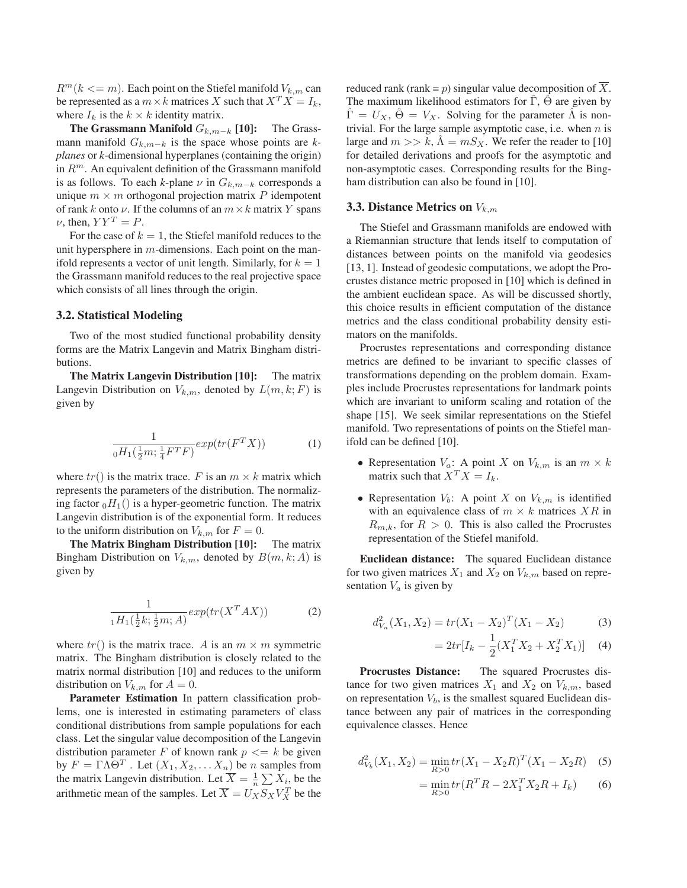$R^m(k \leq m)$ . Each point on the Stiefel manifold  $V_{k,m}$  can be represented as a  $m \times k$  matrices X such that  $X^T X = I_k$ , where  $I_k$  is the  $k \times k$  identity matrix.

The Grassmann Manifold  $G_{k,m-k}$  [10]: The Grassmann manifold  $G_{k,m-k}$  is the space whose points are *kplanes* or *k*-dimensional hyperplanes (containing the origin) in  $R^m$ . An equivalent definition of the Grassmann manifold is as follows. To each *k*-plane  $\nu$  in  $G_{k,m-k}$  corresponds a unique  $m \times m$  orthogonal projection matrix  $P$  idempotent of rank k onto  $\nu$ . If the columns of an  $m \times k$  matrix Y spans  $\nu$ , then,  $YY^T = P$ .

For the case of  $k = 1$ , the Stiefel manifold reduces to the unit hypersphere in  $m$ -dimensions. Each point on the manifold represents a vector of unit length. Similarly, for  $k = 1$ the Grassmann manifold reduces to the real projective space which consists of all lines through the origin.

## **3.2. Statistical Modeling**

Two of the most studied functional probability density forms are the Matrix Langevin and Matrix Bingham distributions.

**The Matrix Langevin Distribution [10]:** The matrix Langevin Distribution on  $V_{k,m}$ , denoted by  $L(m, k; F)$  is given by

$$
\frac{1}{\rho H_1(\frac{1}{2}m; \frac{1}{4}F^T F)} \exp(tr(F^T X))\tag{1}
$$

where  $tr()$  is the matrix trace. F is an  $m \times k$  matrix which represents the parameters of the distribution. The normalizing factor  $_0H_1()$  is a hyper-geometric function. The matrix Langevin distribution is of the exponential form. It reduces to the uniform distribution on  $V_{k,m}$  for  $F = 0$ .

**The Matrix Bingham Distribution [10]:** The matrix Bingham Distribution on  $V_{k,m}$ , denoted by  $B(m, k; A)$  is given by

$$
\frac{1}{1H_1(\frac{1}{2}k; \frac{1}{2}m; A)}exp(tr(X^T A X))\tag{2}
$$

where  $tr()$  is the matrix trace. A is an  $m \times m$  symmetric matrix. The Bingham distribution is closely related to the matrix normal distribution [10] and reduces to the uniform distribution on  $V_{k,m}$  for  $A=0$ .

**Parameter Estimation** In pattern classification problems, one is interested in estimating parameters of class conditional distributions from sample populations for each class. Let the singular value decomposition of the Langevin distribution parameter F of known rank  $p \leq k$  be given by  $F = \Gamma \Lambda \Theta^T$ . Let  $(X_1, X_2, \ldots, X_n)$  be *n* samples from the matrix Langevin distribution. Let  $\overline{X} = \frac{1}{n} \sum X_i$ , be the arithmetic mean of the samples. Let  $\overline{X} = U_X S_X V_X^T$  be the

reduced rank (rank = p) singular value decomposition of  $\overline{X}$ . The maximum likelihood estimators for  $\hat{\Gamma}$ ,  $\hat{\Theta}$  are given by  $\hat{\Gamma} = U_X$ ,  $\hat{\Theta} = V_X$ . Solving for the parameter  $\hat{\Lambda}$  is nontrivial. For the large sample asymptotic case, i.e. when  $n$  is large and  $m >> k$ ,  $\hat{\Lambda} = mS_X$ . We refer the reader to [10] for detailed derivations and proofs for the asymptotic and non-asymptotic cases. Corresponding results for the Bingham distribution can also be found in [10].

## **3.3. Distance Metrics on**  $V_{k,m}$

The Stiefel and Grassmann manifolds are endowed with a Riemannian structure that lends itself to computation of distances between points on the manifold via geodesics [13, 1]. Instead of geodesic computations, we adopt the Procrustes distance metric proposed in [10] which is defined in the ambient euclidean space. As will be discussed shortly, this choice results in efficient computation of the distance metrics and the class conditional probability density estimators on the manifolds.

Procrustes representations and corresponding distance metrics are defined to be invariant to specific classes of transformations depending on the problem domain. Examples include Procrustes representations for landmark points which are invariant to uniform scaling and rotation of the shape [15]. We seek similar representations on the Stiefel manifold. Two representations of points on the Stiefel manifold can be defined [10].

- Representation  $V_a$ : A point X on  $V_{k,m}$  is an  $m \times k$ matrix such that  $X^T X = I_k$ .
- Representation  $V_b$ : A point X on  $V_{k,m}$  is identified with an equivalence class of  $m \times k$  matrices  $XR$  in  $R_{m,k}$ , for  $R > 0$ . This is also called the Procrustes representation of the Stiefel manifold.

**Euclidean distance:** The squared Euclidean distance for two given matrices  $X_1$  and  $X_2$  on  $V_{k,m}$  based on representation  $V_a$  is given by

$$
d_{V_a}^2(X_1, X_2) = tr(X_1 - X_2)^T(X_1 - X_2)
$$
 (3)

$$
=2tr[I_k - \frac{1}{2}(X_1^T X_2 + X_2^T X_1)] \quad (4)
$$

**Procrustes Distance:** The squared Procrustes distance for two given matrices  $X_1$  and  $X_2$  on  $V_{k,m}$ , based on representation  $V_b$ , is the smallest squared Euclidean distance between any pair of matrices in the corresponding equivalence classes. Hence

$$
d_{V_b}^2(X_1, X_2) = \min_{R>0} tr(X_1 - X_2R)^T (X_1 - X_2R)
$$
 (5)

$$
= \min_{R>0} tr(R^T R - 2X_1^T X_2 R + I_k)
$$
 (6)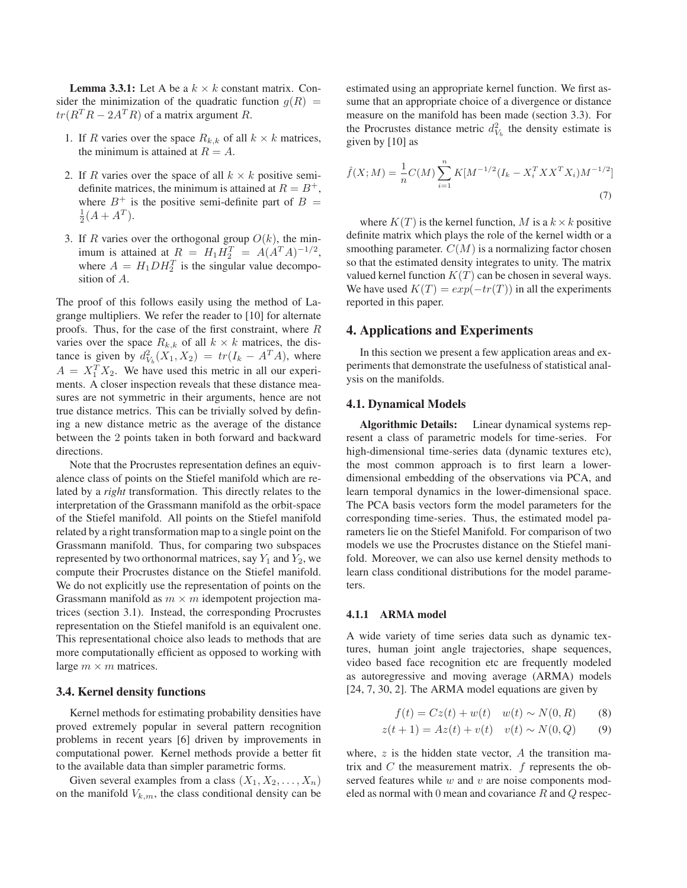**Lemma 3.3.1:** Let A be a  $k \times k$  constant matrix. Consider the minimization of the quadratic function  $q(R)$  =  $tr(R^T R - 2A^T R)$  of a matrix argument R.

- 1. If R varies over the space  $R_{k,k}$  of all  $k \times k$  matrices, the minimum is attained at  $R = A$ .
- 2. If R varies over the space of all  $k \times k$  positive semidefinite matrices, the minimum is attained at  $R = B^{+}$ , where  $B^+$  is the positive semi-definite part of  $B =$  $\frac{1}{2}(A + A^{T}).$
- 3. If R varies over the orthogonal group  $O(k)$ , the minimum is attained at  $R = H_1 H_2^T = A(A^T A)^{-1/2}$ , where  $A = H_1 D H_2^T$  is the singular value decomposition of A.

The proof of this follows easily using the method of Lagrange multipliers. We refer the reader to [10] for alternate proofs. Thus, for the case of the first constraint, where R varies over the space  $R_{k,k}$  of all  $k \times k$  matrices, the distance is given by  $d_{V_b}^2(X_1, X_2) = tr(I_k - A^T A)$ , where  $A = X_1^T X_2$ . We have used this metric in all our experiments. A closer inspection reveals that these distance measures are not symmetric in their arguments, hence are not true distance metrics. This can be trivially solved by defining a new distance metric as the average of the distance between the 2 points taken in both forward and backward directions.

Note that the Procrustes representation defines an equivalence class of points on the Stiefel manifold which are related by a *right* transformation. This directly relates to the interpretation of the Grassmann manifold as the orbit-space of the Stiefel manifold. All points on the Stiefel manifold related by a right transformation map to a single point on the Grassmann manifold. Thus, for comparing two subspaces represented by two orthonormal matrices, say  $Y_1$  and  $Y_2$ , we compute their Procrustes distance on the Stiefel manifold. We do not explicitly use the representation of points on the Grassmann manifold as  $m \times m$  idempotent projection matrices (section 3.1). Instead, the corresponding Procrustes representation on the Stiefel manifold is an equivalent one. This representational choice also leads to methods that are more computationally efficient as opposed to working with large  $m \times m$  matrices.

## **3.4. Kernel density functions**

Kernel methods for estimating probability densities have proved extremely popular in several pattern recognition problems in recent years [6] driven by improvements in computational power. Kernel methods provide a better fit to the available data than simpler parametric forms.

Given several examples from a class  $(X_1, X_2, \ldots, X_n)$ on the manifold  $V_{k,m}$ , the class conditional density can be estimated using an appropriate kernel function. We first assume that an appropriate choice of a divergence or distance measure on the manifold has been made (section 3.3). For the Procrustes distance metric  $d_{V_b}^2$  the density estimate is given by [10] as

$$
\hat{f}(X;M) = \frac{1}{n}C(M)\sum_{i=1}^{n} K[M^{-1/2}(I_k - X_i^T XX^T X_i)M^{-1/2}]
$$
\n(7)

where  $K(T)$  is the kernel function, M is a  $k \times k$  positive definite matrix which plays the role of the kernel width or a smoothing parameter.  $C(M)$  is a normalizing factor chosen so that the estimated density integrates to unity. The matrix valued kernel function  $K(T)$  can be chosen in several ways. We have used  $K(T) = exp(-tr(T))$  in all the experiments reported in this paper.

## **4. Applications and Experiments**

In this section we present a few application areas and experiments that demonstrate the usefulness of statistical analysis on the manifolds.

#### **4.1. Dynamical Models**

**Algorithmic Details:** Linear dynamical systems represent a class of parametric models for time-series. For high-dimensional time-series data (dynamic textures etc), the most common approach is to first learn a lowerdimensional embedding of the observations via PCA, and learn temporal dynamics in the lower-dimensional space. The PCA basis vectors form the model parameters for the corresponding time-series. Thus, the estimated model parameters lie on the Stiefel Manifold. For comparison of two models we use the Procrustes distance on the Stiefel manifold. Moreover, we can also use kernel density methods to learn class conditional distributions for the model parameters.

### **4.1.1 ARMA model**

A wide variety of time series data such as dynamic textures, human joint angle trajectories, shape sequences, video based face recognition etc are frequently modeled as autoregressive and moving average (ARMA) models [24, 7, 30, 2]. The ARMA model equations are given by

$$
f(t) = Cz(t) + w(t) \quad w(t) \sim N(0, R) \tag{8}
$$

$$
z(t+1) = Az(t) + v(t) \quad v(t) \sim N(0, Q) \tag{9}
$$

where,  $z$  is the hidden state vector,  $A$  the transition matrix and  $C$  the measurement matrix.  $f$  represents the observed features while  $w$  and  $v$  are noise components modeled as normal with 0 mean and covariance  $R$  and  $Q$  respec-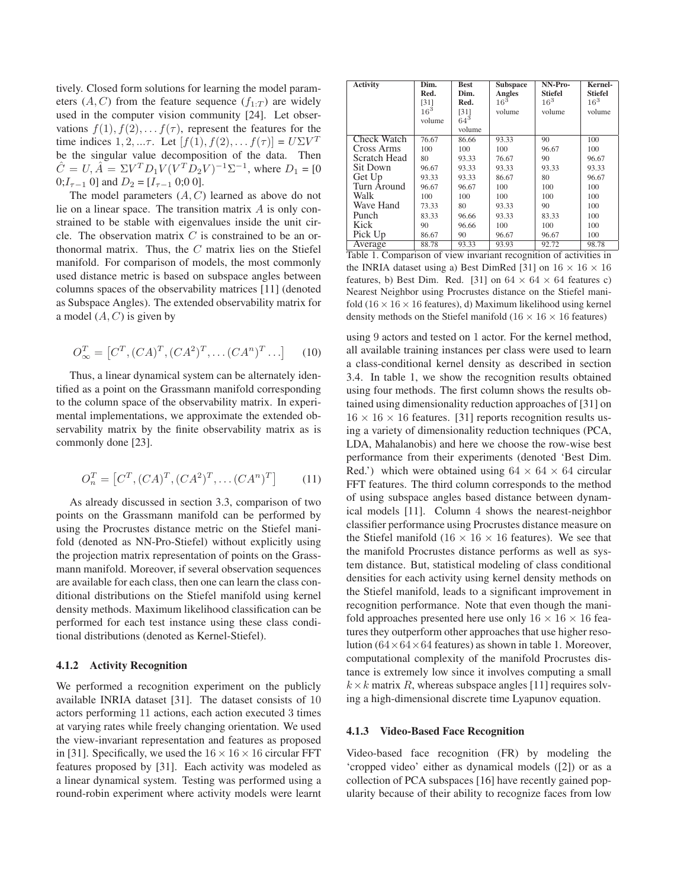tively. Closed form solutions for learning the model parameters  $(A, C)$  from the feature sequence  $(f_{1:T})$  are widely used in the computer vision community [24]. Let observations  $f(1), f(2), \ldots, f(\tau)$ , represent the features for the time indices  $1, 2, \ldots \tau$ . Let  $[f(1), f(2), \ldots f(\tau)] = U \Sigma V^T$ be the singular value decomposition of the data. Then  $\hat{C} = U, \hat{A} = \Sigma V^T D_1 V (V^T D_2 V)^{-1} \Sigma^{-1}$ , where  $D_1 = [0, 1]$  $0;I_{\tau-1}$  0] and  $D_2 = [I_{\tau-1} \ 0;0 \ 0].$ 

The model parameters  $(A, C)$  learned as above do not lie on a linear space. The transition matrix A is only constrained to be stable with eigenvalues inside the unit circle. The observation matrix  $C$  is constrained to be an orthonormal matrix. Thus, the  $C$  matrix lies on the Stiefel manifold. For comparison of models, the most commonly used distance metric is based on subspace angles between columns spaces of the observability matrices [11] (denoted as Subspace Angles). The extended observability matrix for a model  $(A, C)$  is given by

$$
O_{\infty}^{T} = [C^{T}, (CA)^{T}, (CA^{2})^{T}, \dots (CA^{n})^{T} \dots]
$$
 (10)

Thus, a linear dynamical system can be alternately identified as a point on the Grassmann manifold corresponding to the column space of the observability matrix. In experimental implementations, we approximate the extended observability matrix by the finite observability matrix as is commonly done [23].

$$
O_n^T = [C^T, (CA)^T, (CA^2)^T, \dots (CA^n)^T] \tag{11}
$$

As already discussed in section 3.3, comparison of two points on the Grassmann manifold can be performed by using the Procrustes distance metric on the Stiefel manifold (denoted as NN-Pro-Stiefel) without explicitly using the projection matrix representation of points on the Grassmann manifold. Moreover, if several observation sequences are available for each class, then one can learn the class conditional distributions on the Stiefel manifold using kernel density methods. Maximum likelihood classification can be performed for each test instance using these class conditional distributions (denoted as Kernel-Stiefel).

## **4.1.2 Activity Recognition**

We performed a recognition experiment on the publicly available INRIA dataset [31]. The dataset consists of 10 actors performing 11 actions, each action executed 3 times at varying rates while freely changing orientation. We used the view-invariant representation and features as proposed in [31]. Specifically, we used the  $16 \times 16 \times 16$  circular FFT features proposed by [31]. Each activity was modeled as a linear dynamical system. Testing was performed using a round-robin experiment where activity models were learnt

| <b>Activity</b>    | Dim.   | Best     | <b>Subspace</b>     | NN-Pro-        | <b>Kernel-</b>  |
|--------------------|--------|----------|---------------------|----------------|-----------------|
|                    | Red.   | Dim.     | Angles              | <b>Stiefel</b> | <b>Stiefel</b>  |
|                    | [31]   | Red.     | $16^{\overline{3}}$ | $16^3$         | 16 <sup>3</sup> |
|                    | $16^3$ | $[31]$   | volume              | volume         | volume          |
|                    | volume | $64^{3}$ |                     |                |                 |
|                    |        | volume   |                     |                |                 |
| <b>Check Watch</b> | 76.67  | 86.66    | 93.33               | 90             | 100             |
| Cross Arms         | 100    | 100      | 100                 | 96.67          | 100             |
| Scratch Head       | 80     | 93.33    | 76.67               | 90             | 96.67           |
| Sit Down           | 96.67  | 93.33    | 93.33               | 93.33          | 93.33           |
| Get Up             | 93.33  | 93.33    | 86.67               | 80             | 96.67           |
| Turn Around        | 96.67  | 96.67    | 100                 | 100            | 100             |
| Walk               | 100    | 100      | 100                 | 100            | 100             |
| Wave Hand          | 73.33  | 80       | 93.33               | 90             | 100             |
| Punch              | 83.33  | 96.66    | 93.33               | 83.33          | 100             |
| Kick               | 90     | 96.66    | 100                 | 100            | 100             |
| Pick Up            | 86.67  | 90       | 96.67               | 96.67          | 100             |
| Average            | 88.78  | 93.33    | 93.93               | 92.72          | 98.78           |

Table 1. Comparison of view invariant recognition of activities in the INRIA dataset using a) Best DimRed [31] on  $16 \times 16 \times 16$ features, b) Best Dim. Red. [31] on  $64 \times 64 \times 64$  features c) Nearest Neighbor using Procrustes distance on the Stiefel manifold  $(16 \times 16 \times 16$  features), d) Maximum likelihood using kernel density methods on the Stiefel manifold ( $16 \times 16 \times 16$  features)

using 9 actors and tested on 1 actor. For the kernel method, all available training instances per class were used to learn a class-conditional kernel density as described in section 3.4. In table 1, we show the recognition results obtained using four methods. The first column shows the results obtained using dimensionality reduction approaches of [31] on  $16 \times 16 \times 16$  features. [31] reports recognition results using a variety of dimensionality reduction techniques (PCA, LDA, Mahalanobis) and here we choose the row-wise best performance from their experiments (denoted 'Best Dim. Red.') which were obtained using  $64 \times 64 \times 64$  circular FFT features. The third column corresponds to the method of using subspace angles based distance between dynamical models [11]. Column 4 shows the nearest-neighbor classifier performance using Procrustes distance measure on the Stiefel manifold (16  $\times$  16  $\times$  16 features). We see that the manifold Procrustes distance performs as well as system distance. But, statistical modeling of class conditional densities for each activity using kernel density methods on the Stiefel manifold, leads to a significant improvement in recognition performance. Note that even though the manifold approaches presented here use only  $16 \times 16 \times 16$  features they outperform other approaches that use higher resolution ( $64 \times 64 \times 64$  features) as shown in table 1. Moreover, computational complexity of the manifold Procrustes distance is extremely low since it involves computing a small  $k \times k$  matrix R, whereas subspace angles [11] requires solving a high-dimensional discrete time Lyapunov equation.

#### **4.1.3 Video-Based Face Recognition**

Video-based face recognition (FR) by modeling the 'cropped video' either as dynamical models ([2]) or as a collection of PCA subspaces [16] have recently gained popularity because of their ability to recognize faces from low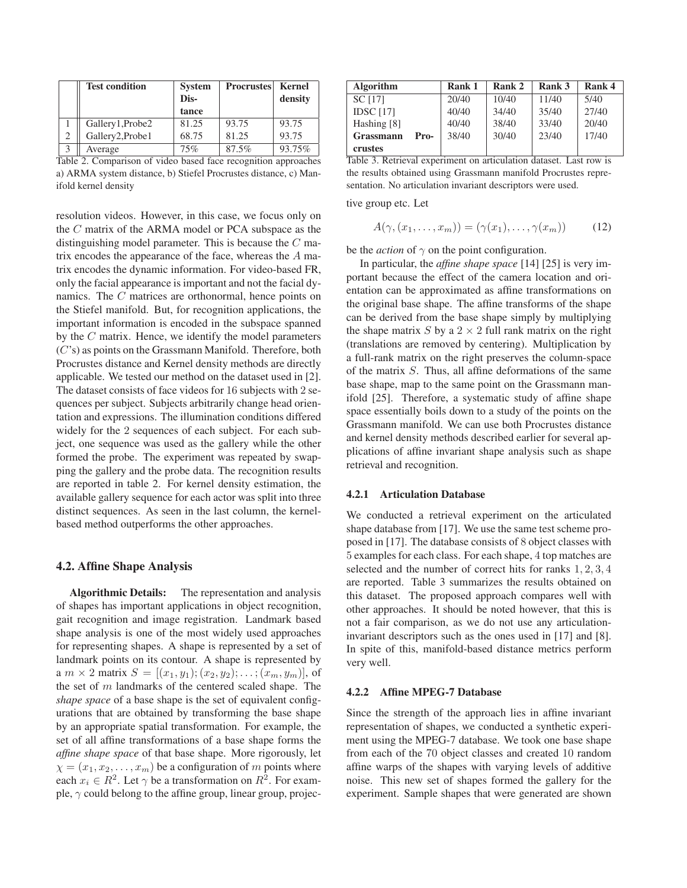|   | <b>Test condition</b> | <b>System</b><br>Dis-<br>tance | <b>Procrustes</b> | Kernel<br>density |
|---|-----------------------|--------------------------------|-------------------|-------------------|
|   | Gallery 1, Probe2     | 81.25                          | 93.75             | 93.75             |
|   | Gallery2, Probe1      | 68.75                          | 81.25             | 93.75             |
| 3 | Average               | 75%                            | 87.5%             | 93.75%            |

Table 2. Comparison of video based face recognition approaches a) ARMA system distance, b) Stiefel Procrustes distance, c) Manifold kernel density

resolution videos. However, in this case, we focus only on the C matrix of the ARMA model or PCA subspace as the distinguishing model parameter. This is because the C matrix encodes the appearance of the face, whereas the A matrix encodes the dynamic information. For video-based FR, only the facial appearance is important and not the facial dynamics. The C matrices are orthonormal, hence points on the Stiefel manifold. But, for recognition applications, the important information is encoded in the subspace spanned by the  $C$  matrix. Hence, we identify the model parameters (C's) as points on the Grassmann Manifold. Therefore, both Procrustes distance and Kernel density methods are directly applicable. We tested our method on the dataset used in [2]. The dataset consists of face videos for 16 subjects with 2 sequences per subject. Subjects arbitrarily change head orientation and expressions. The illumination conditions differed widely for the 2 sequences of each subject. For each subject, one sequence was used as the gallery while the other formed the probe. The experiment was repeated by swapping the gallery and the probe data. The recognition results are reported in table 2. For kernel density estimation, the available gallery sequence for each actor was split into three distinct sequences. As seen in the last column, the kernelbased method outperforms the other approaches.

# **4.2. Affine Shape Analysis**

**Algorithmic Details:** The representation and analysis of shapes has important applications in object recognition, gait recognition and image registration. Landmark based shape analysis is one of the most widely used approaches for representing shapes. A shape is represented by a set of landmark points on its contour. A shape is represented by a  $m \times 2$  matrix  $S = [(x_1, y_1); (x_2, y_2); \dots; (x_m, y_m)],$  of the set of  $m$  landmarks of the centered scaled shape. The *shape space* of a base shape is the set of equivalent configurations that are obtained by transforming the base shape by an appropriate spatial transformation. For example, the set of all affine transformations of a base shape forms the *affine shape space* of that base shape. More rigorously, let  $\chi = (x_1, x_2, \ldots, x_m)$  be a configuration of m points where each  $x_i \in R^2$ . Let  $\gamma$  be a transformation on  $R^2$ . For example,  $\gamma$  could belong to the affine group, linear group, projec-

| Algorithm        |      | Rank 1 | Rank 2 | Rank 3 | Rank 4 |
|------------------|------|--------|--------|--------|--------|
| SC [17]          |      | 20/40  | 10/40  | 11/40  | 5/40   |
| <b>IDSC</b> [17] |      | 40/40  | 34/40  | 35/40  | 27/40  |
| Hashing [8]      |      | 40/40  | 38/40  | 33/40  | 20/40  |
| Grassmann        | Pro- | 38/40  | 30/40  | 23/40  | 17/40  |
| crustes<br>.     |      |        | .      |        |        |

Table 3. Retrieval experiment on articulation dataset. Last row is the results obtained using Grassmann manifold Procrustes representation. No articulation invariant descriptors were used.

tive group etc. Let

$$
A(\gamma, (x_1, \ldots, x_m)) = (\gamma(x_1), \ldots, \gamma(x_m)) \tag{12}
$$

be the *action* of  $\gamma$  on the point configuration.

In particular, the *affine shape space* [14] [25] is very important because the effect of the camera location and orientation can be approximated as affine transformations on the original base shape. The affine transforms of the shape can be derived from the base shape simply by multiplying the shape matrix S by a  $2 \times 2$  full rank matrix on the right (translations are removed by centering). Multiplication by a full-rank matrix on the right preserves the column-space of the matrix  $S$ . Thus, all affine deformations of the same base shape, map to the same point on the Grassmann manifold [25]. Therefore, a systematic study of affine shape space essentially boils down to a study of the points on the Grassmann manifold. We can use both Procrustes distance and kernel density methods described earlier for several applications of affine invariant shape analysis such as shape retrieval and recognition.

### **4.2.1 Articulation Database**

We conducted a retrieval experiment on the articulated shape database from [17]. We use the same test scheme proposed in [17]. The database consists of 8 object classes with 5 examples for each class. For each shape, 4 top matches are selected and the number of correct hits for ranks 1, 2, 3, 4 are reported. Table 3 summarizes the results obtained on this dataset. The proposed approach compares well with other approaches. It should be noted however, that this is not a fair comparison, as we do not use any articulationinvariant descriptors such as the ones used in [17] and [8]. In spite of this, manifold-based distance metrics perform very well.

## **4.2.2 Affine MPEG-7 Database**

Since the strength of the approach lies in affine invariant representation of shapes, we conducted a synthetic experiment using the MPEG-7 database. We took one base shape from each of the 70 object classes and created 10 random affine warps of the shapes with varying levels of additive noise. This new set of shapes formed the gallery for the experiment. Sample shapes that were generated are shown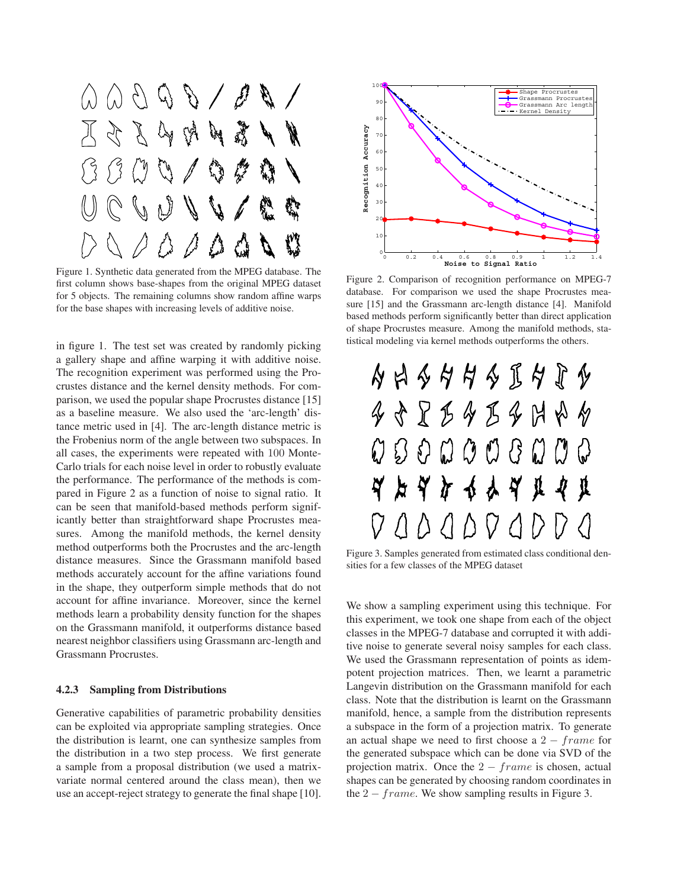فلجم  $\frac{1}{2}$  $\tilde{\mathcal{H}}$  $\mathcal{N}$ 

Figure 1. Synthetic data generated from the MPEG database. The first column shows base-shapes from the original MPEG dataset for 5 objects. The remaining columns show random affine warps for the base shapes with increasing levels of additive noise.

in figure 1. The test set was created by randomly picking a gallery shape and affine warping it with additive noise. The recognition experiment was performed using the Procrustes distance and the kernel density methods. For comparison, we used the popular shape Procrustes distance [15] as a baseline measure. We also used the 'arc-length' distance metric used in [4]. The arc-length distance metric is the Frobenius norm of the angle between two subspaces. In all cases, the experiments were repeated with 100 Monte-Carlo trials for each noise level in order to robustly evaluate the performance. The performance of the methods is compared in Figure 2 as a function of noise to signal ratio. It can be seen that manifold-based methods perform significantly better than straightforward shape Procrustes measures. Among the manifold methods, the kernel density method outperforms both the Procrustes and the arc-length distance measures. Since the Grassmann manifold based methods accurately account for the affine variations found in the shape, they outperform simple methods that do not account for affine invariance. Moreover, since the kernel methods learn a probability density function for the shapes on the Grassmann manifold, it outperforms distance based nearest neighbor classifiers using Grassmann arc-length and Grassmann Procrustes.

## **4.2.3 Sampling from Distributions**

Generative capabilities of parametric probability densities can be exploited via appropriate sampling strategies. Once the distribution is learnt, one can synthesize samples from the distribution in a two step process. We first generate a sample from a proposal distribution (we used a matrixvariate normal centered around the class mean), then we use an accept-reject strategy to generate the final shape [10].



Figure 2. Comparison of recognition performance on MPEG-7 database. For comparison we used the shape Procrustes measure [15] and the Grassmann arc-length distance [4]. Manifold based methods perform significantly better than direct application of shape Procrustes measure. Among the manifold methods, statistical modeling via kernel methods outperforms the others.

888848888 W Ъ  $\gamma$ M

Figure 3. Samples generated from estimated class conditional densities for a few classes of the MPEG dataset

We show a sampling experiment using this technique. For this experiment, we took one shape from each of the object classes in the MPEG-7 database and corrupted it with additive noise to generate several noisy samples for each class. We used the Grassmann representation of points as idempotent projection matrices. Then, we learnt a parametric Langevin distribution on the Grassmann manifold for each class. Note that the distribution is learnt on the Grassmann manifold, hence, a sample from the distribution represents a subspace in the form of a projection matrix. To generate an actual shape we need to first choose a  $2 - frame$  for the generated subspace which can be done via SVD of the projection matrix. Once the  $2 - frame$  is chosen, actual shapes can be generated by choosing random coordinates in the  $2 - frame$ . We show sampling results in Figure 3.